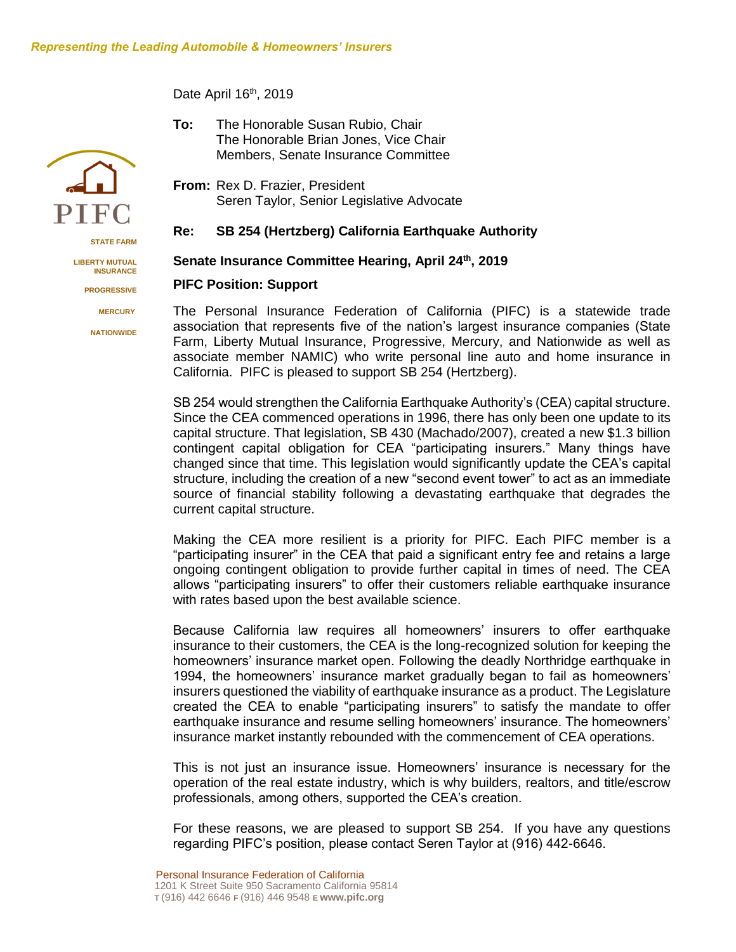Date April 16<sup>th</sup>, 2019

- **To:** The Honorable Susan Rubio, Chair The Honorable Brian Jones, Vice Chair Members, Senate Insurance Committee
- **From:** Rex D. Frazier, President Seren Taylor, Senior Legislative Advocate

## **Re: SB 254 (Hertzberg) California Earthquake Authority**

## **Senate Insurance Committee Hearing, April 24th , 2019**

## **PIFC Position: Support**

The Personal Insurance Federation of California (PIFC) is a statewide trade association that represents five of the nation's largest insurance companies (State Farm, Liberty Mutual Insurance, Progressive, Mercury, and Nationwide as well as associate member NAMIC) who write personal line auto and home insurance in California. PIFC is pleased to support SB 254 (Hertzberg).

SB 254 would strengthen the California Earthquake Authority's (CEA) capital structure. Since the CEA commenced operations in 1996, there has only been one update to its capital structure. That legislation, SB 430 (Machado/2007), created a new \$1.3 billion contingent capital obligation for CEA "participating insurers." Many things have changed since that time. This legislation would significantly update the CEA's capital structure, including the creation of a new "second event tower" to act as an immediate source of financial stability following a devastating earthquake that degrades the current capital structure.

Making the CEA more resilient is a priority for PIFC. Each PIFC member is a "participating insurer" in the CEA that paid a significant entry fee and retains a large ongoing contingent obligation to provide further capital in times of need. The CEA allows "participating insurers" to offer their customers reliable earthquake insurance with rates based upon the best available science.

Because California law requires all homeowners' insurers to offer earthquake insurance to their customers, the CEA is the long-recognized solution for keeping the homeowners' insurance market open. Following the deadly Northridge earthquake in 1994, the homeowners' insurance market gradually began to fail as homeowners' insurers questioned the viability of earthquake insurance as a product. The Legislature created the CEA to enable "participating insurers" to satisfy the mandate to offer earthquake insurance and resume selling homeowners' insurance. The homeowners' insurance market instantly rebounded with the commencement of CEA operations.

This is not just an insurance issue. Homeowners' insurance is necessary for the operation of the real estate industry, which is why builders, realtors, and title/escrow professionals, among others, supported the CEA's creation.

For these reasons, we are pleased to support SB 254. If you have any questions regarding PIFC's position, please contact Seren Taylor at (916) 442-6646.



**STATE FARM**

**LIBERTY MUTUAL INSURANCE**

**PROGRESSIVE**

 **MERCURY**

**NATIONWIDE**